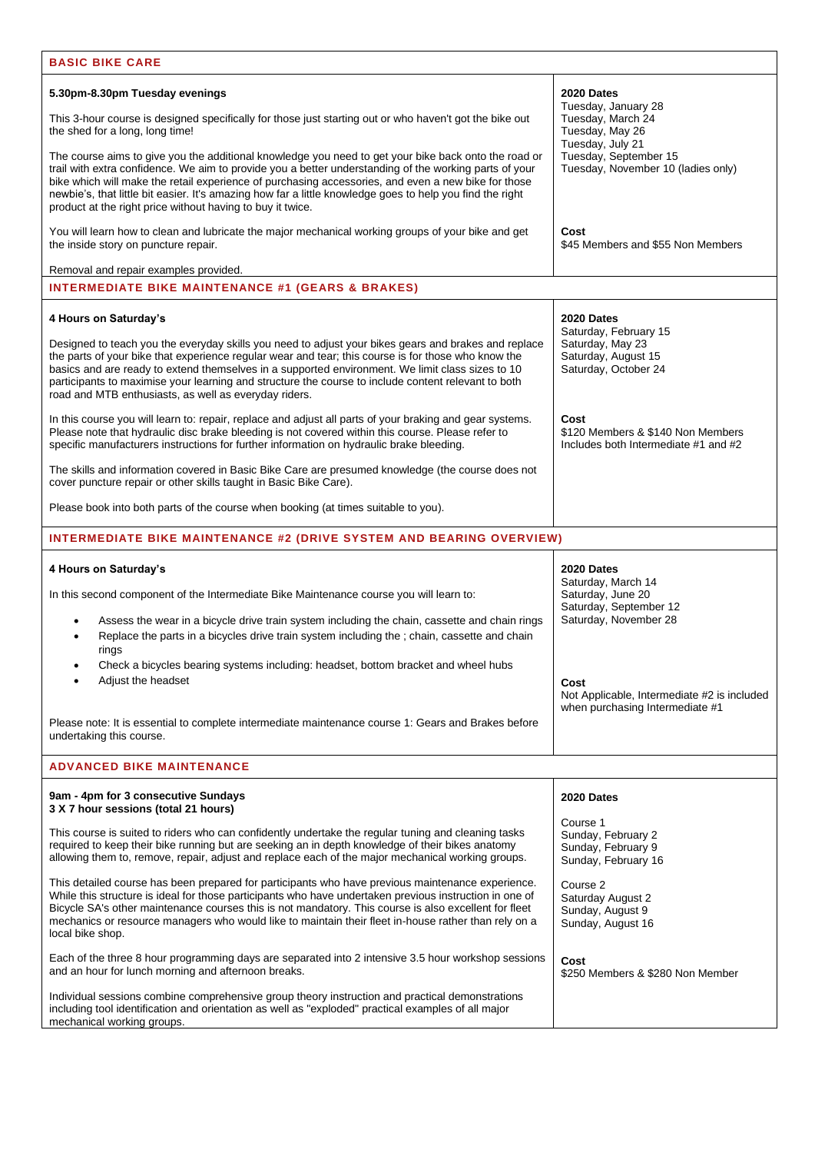| <b>BASIC BIKE CARE</b>                                                                                                                                                                                                                                                                                                                                                                                                                                                                           |                                                                                   |  |  |
|--------------------------------------------------------------------------------------------------------------------------------------------------------------------------------------------------------------------------------------------------------------------------------------------------------------------------------------------------------------------------------------------------------------------------------------------------------------------------------------------------|-----------------------------------------------------------------------------------|--|--|
| 5.30pm-8.30pm Tuesday evenings                                                                                                                                                                                                                                                                                                                                                                                                                                                                   | 2020 Dates<br>Tuesday, January 28                                                 |  |  |
| This 3-hour course is designed specifically for those just starting out or who haven't got the bike out<br>the shed for a long, long time!                                                                                                                                                                                                                                                                                                                                                       | Tuesday, March 24<br>Tuesday, May 26<br>Tuesday, July 21                          |  |  |
| The course aims to give you the additional knowledge you need to get your bike back onto the road or<br>trail with extra confidence. We aim to provide you a better understanding of the working parts of your<br>bike which will make the retail experience of purchasing accessories, and even a new bike for those<br>newbie's, that little bit easier. It's amazing how far a little knowledge goes to help you find the right<br>product at the right price without having to buy it twice. | Tuesday, September 15<br>Tuesday, November 10 (ladies only)                       |  |  |
| You will learn how to clean and lubricate the major mechanical working groups of your bike and get<br>the inside story on puncture repair.                                                                                                                                                                                                                                                                                                                                                       | Cost<br>\$45 Members and \$55 Non Members                                         |  |  |
| Removal and repair examples provided.                                                                                                                                                                                                                                                                                                                                                                                                                                                            |                                                                                   |  |  |
| <b>INTERMEDIATE BIKE MAINTENANCE #1 (GEARS &amp; BRAKES)</b>                                                                                                                                                                                                                                                                                                                                                                                                                                     |                                                                                   |  |  |
| 4 Hours on Saturday's                                                                                                                                                                                                                                                                                                                                                                                                                                                                            | 2020 Dates<br>Saturday, February 15                                               |  |  |
| Designed to teach you the everyday skills you need to adjust your bikes gears and brakes and replace<br>the parts of your bike that experience regular wear and tear; this course is for those who know the<br>basics and are ready to extend themselves in a supported environment. We limit class sizes to 10<br>participants to maximise your learning and structure the course to include content relevant to both<br>road and MTB enthusiasts, as well as everyday riders.                  | Saturday, May 23<br>Saturday, August 15<br>Saturday, October 24                   |  |  |
| In this course you will learn to: repair, replace and adjust all parts of your braking and gear systems.<br>Please note that hydraulic disc brake bleeding is not covered within this course. Please refer to<br>specific manufacturers instructions for further information on hydraulic brake bleeding.                                                                                                                                                                                        | Cost<br>\$120 Members & \$140 Non Members<br>Includes both Intermediate #1 and #2 |  |  |
| The skills and information covered in Basic Bike Care are presumed knowledge (the course does not<br>cover puncture repair or other skills taught in Basic Bike Care).                                                                                                                                                                                                                                                                                                                           |                                                                                   |  |  |
| Please book into both parts of the course when booking (at times suitable to you).                                                                                                                                                                                                                                                                                                                                                                                                               |                                                                                   |  |  |
| <b>INTERMEDIATE BIKE MAINTENANCE #2 (DRIVE SYSTEM AND BEARING OVERVIEW)</b>                                                                                                                                                                                                                                                                                                                                                                                                                      |                                                                                   |  |  |
| 4 Hours on Saturday's                                                                                                                                                                                                                                                                                                                                                                                                                                                                            | 2020 Dates<br>Saturday, March 14                                                  |  |  |
| In this second component of the Intermediate Bike Maintenance course you will learn to:                                                                                                                                                                                                                                                                                                                                                                                                          | Saturday, June 20<br>Saturday, September 12                                       |  |  |
| Assess the wear in a bicycle drive train system including the chain, cassette and chain rings<br>Replace the parts in a bicycles drive train system including the ; chain, cassette and chain<br>rings                                                                                                                                                                                                                                                                                           | Saturday, November 28                                                             |  |  |
| Check a bicycles bearing systems including: headset, bottom bracket and wheel hubs<br>Adjust the headset                                                                                                                                                                                                                                                                                                                                                                                         | Cost<br>Not Applicable, Intermediate #2 is included                               |  |  |
| Please note: It is essential to complete intermediate maintenance course 1: Gears and Brakes before<br>undertaking this course.                                                                                                                                                                                                                                                                                                                                                                  | when purchasing Intermediate #1                                                   |  |  |
| <b>ADVANCED BIKE MAINTENANCE</b>                                                                                                                                                                                                                                                                                                                                                                                                                                                                 |                                                                                   |  |  |
| 9am - 4pm for 3 consecutive Sundays<br>3 X 7 hour sessions (total 21 hours)                                                                                                                                                                                                                                                                                                                                                                                                                      | 2020 Dates                                                                        |  |  |
| This course is suited to riders who can confidently undertake the regular tuning and cleaning tasks<br>required to keep their bike running but are seeking an in depth knowledge of their bikes anatomy<br>allowing them to, remove, repair, adjust and replace each of the major mechanical working groups.                                                                                                                                                                                     | Course 1<br>Sunday, February 2<br>Sunday, February 9<br>Sunday, February 16       |  |  |
| This detailed course has been prepared for participants who have previous maintenance experience.<br>While this structure is ideal for those participants who have undertaken previous instruction in one of<br>Bicycle SA's other maintenance courses this is not mandatory. This course is also excellent for fleet<br>mechanics or resource managers who would like to maintain their fleet in-house rather than rely on a<br>local bike shop.                                                | Course 2<br>Saturday August 2<br>Sunday, August 9<br>Sunday, August 16            |  |  |
| Each of the three 8 hour programming days are separated into 2 intensive 3.5 hour workshop sessions<br>and an hour for lunch morning and afternoon breaks.                                                                                                                                                                                                                                                                                                                                       | Cost<br>\$250 Members & \$280 Non Member                                          |  |  |
| Individual sessions combine comprehensive group theory instruction and practical demonstrations<br>including tool identification and orientation as well as "exploded" practical examples of all major<br>mechanical working groups.                                                                                                                                                                                                                                                             |                                                                                   |  |  |